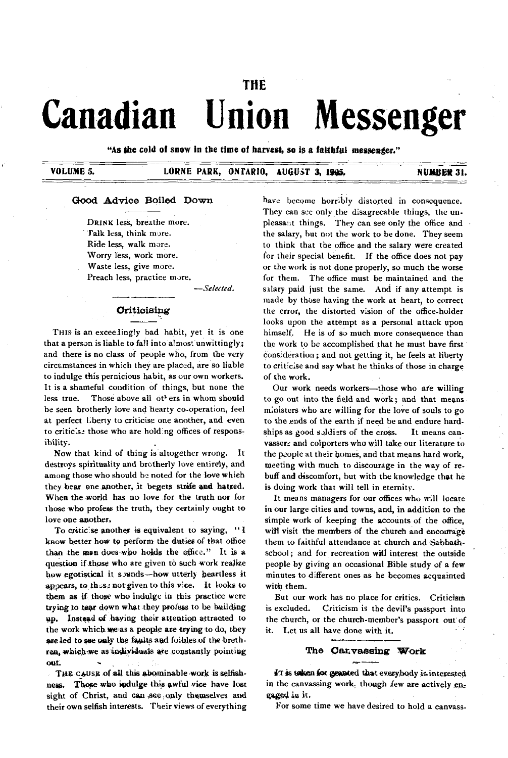# THE **Canadian Union Messenger**

"As the cold of snow in the time of harvest, so is a faithful messenger."

VOLUME 5. LURNE PARK, ONTARIO, AUGUST 3, ISSS. NUMBER 31.

### **Good Advice Boiled Down**

DRINK less, breathe more. Talk less, think more. Ride less, walk more. Worry less, work more. Waste less, give more. Preach less, practice more.

— *Selected.*

### **Criticising**

THIS is an exceedingly bad habit, yet it is one that a person is liable to fall into almost unwittingly; and there is no class of people who, from the very circum stances in w hich they are placed, are so liable to indulge this pernicious habit, as our own workers. It is a shameful condition of things, but none the less true. Those above all ot<sup>1</sup> ers in whom should be seen brotherly love and hearty co-operation, feel at perfect l.berty to criticise one another, and even to criticise those who are holding offices of responsibility.

Now that kind of thing is altogether wrong. It destroys spirituality and brotherly love entirely, and among those who should be noted for the love whieh they bear one another, it begets strife and hatred. When the world has no love for the truth nor for those who profess the truth, they certainly ought to love one another.

To criticise another is equivalent to saying, "I know better how to perform the duties of that office than the man does who holds the office." It is a question if those who are given to such work realize how egotistical it sounds— how utterly heartless it appears, to thuse not given to this vice. It looks to them as if those who indulge in this practice were trying to tear down what they profess to be building up. Instead of haying their attention attracted to the work which we as a people are trying to do, they are led to see only the faults and foibles of the brethren, which we as individuals are constantly pointing out.

THE CAUSE of all this abominable work is selfishness. Those who indulge this awful vice have lost sight of Christ, and can see only themselves and their own selfish interests. Their views of everything have become horribly distorted in consequence. They can see only the disagreeable things, the unpleasant things. They can see only the office and the salary, hut not the work to be done. They seem to think that the office and the salary were created for their special benefit. If the office does not pay or the work is not done properly, so much the worse for them. The office must be maintained and the salary paid just the same. And if any attempt is made by those having the work at heart, to correct the error, the distorted vision of the office-holder looks upon the attempt as a personal attack upon himself. He is of so much more consequence than the work to be accomplished that he must have first consideration; and not getting it, he feels at liberty to criticise and say what he thinks of those in charge of the work.

Our work needs workers— those who a*te* willing to go out into the field and work; and that means ministers who are willing for the love of souls to go to the ends of the earth if need be and endure hardships as good soldiers of the cross. It means canvassers and colporters who will take our literature to the people at their homes, and that means hard work, meeting with much to discourage in the way of rebuff and discomfort, but with the knowledge that he is doing work that will tell in eternity.

It means managers for our offices who will locate in our large cities and towns, and, in addition to the simple work of keeping the accounts of the office, will visit the members of the church and encourage them to faithful attendance at church and Sabbathschool; and for recreation will interest the outside people by giving an occasional Bible study of a few minutes to different ones as he becomes acquainted with them.

But our work has no place for critics. Criticism is excluded. Criticism is the devil's passport into the church, or the church-member's passport out' of it. Let us all have done with it.

### **The Canvassing Work**

IT is taken for granted that everybody is interested in the canvassing work, though few are actively en gaged in it.

For some time we have desired to hold a canvass-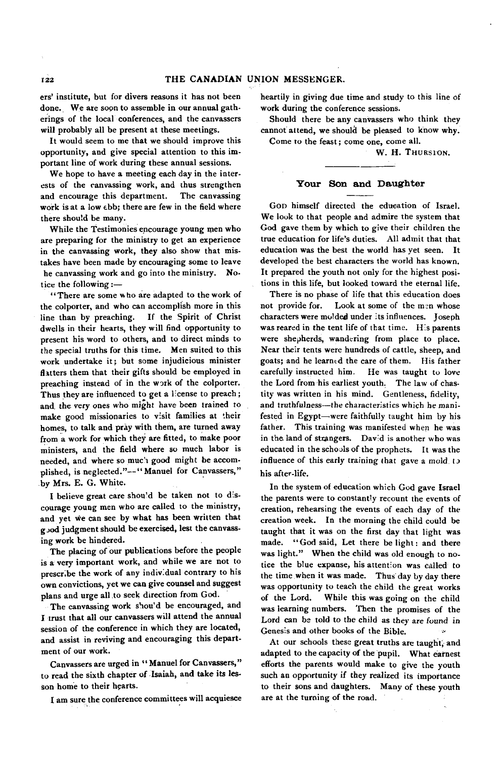ers' institute, but for divers reasons it has not been done. We are soon to assemble in our annual gatherings of the local conferences, and the canvassers will probably all be present at these meetings.

It would seem to me that we should improve this opportunity, and give special attention to this important line of work during these annual sessions.

We hope to have a meeting each day in the interests of the canvassing work, and thus strengthen and encourage this department. The canvassing work is at a low ebb; there are few in the field where there should be many.

W hile the Testimonies encourage young men who are preparing for the ministry to get an experience in the canvassing work, they also show that mistakes have been made by encouraging some to leave he canvassing work and go into the ministry. Notice the following:-

" There are some who are adapted to the work of the colporter, and who can accomplish more in this line than by preaching. If the Spirit of Christ dwells in their hearts, they will find opportunity to present his word to others, and to direct minds to the special truths for this time. Men suited to this work undertake it; but some injudicious minister flatters them that their gifts should be employed in preaching instead of in the work of the colporter. Thus they are influenced to get a license to preach; and, the very ones who might have been trained to make good missionaries to visit families at their homes, to talk and pray with them, are turned away from a work for which they are fitted, to make poor ministers, and the field where so much labor is needed, and where so much good might be accomplished, is neglected."--" Manuel for Canvassers," by Mrs. E. G. White.

I believe great care shou'd be taken not to discourage young men who are called to the ministry, and yet we can see by what has been written that good judgment should be exercised, lest the canvassing work be hindered.

The placing of our publications before the people is a very important work, and while we are not to prescribe the work of any individual contrary to his own convictions, yet we can give counsel and suggest plans and urge all to seek direction from God.

The canvassing work shou'd be encouraged, and I trust that all our canvassers will attend the annual session of the conference in which they are located, and assist in reviving and encouraging this department of our work.

Canvassers are urged in " Manuel for Canvassers," to read the sixth chapter of Isaiah, and take its lesson home to their hearts.

I am sure the conference committees will acquiesce

heartily in giving due time and study to this line of work during the conference sessions.

Should there be any canvassers who think they cannot attend, we should be pleased to know why. Come to the feast; come one, come all.

W. H. THURSION.

#### **Your Son and Daughter**

Gon himself directed the education of Israel. We look to that people and admire the system that God gave them by which to give their children the true education for life's duties. All admit that that education was the best the world has yet seen. It developed the best characters the world has known. It prepared the youth not only for the highest positions in this life, but looked toward the eternal life.

There is no phase of life that this education does not provide for. Look at some of the men whose characters were molded under its influences. Joseph was reared in the tent life of that time. His parents were shepherds, wandering from place to place. Near their tents were hundreds of cattle, sheep, and goats; and he learned the care of them. His father carefully instructed him. He was taught to love the Lord from his earliest youth. The law of chastity was written in his mind. Gentleness, fidelity, and truthfulness— the characteristics which he manifested in Egypt— were faithfully taught him by his father. This training was manifested when he was in the land of strangers. David is another who was educated in the schools of the prophets. It was the influence of this early training that gave a mold to his after-life.

In the system of education which God gave Israel the parents were to constantly recount the events of creation, rehearsing the events of each day of the creation week. In the morning the child could be taught that it was on the first day that light was made. "God said, Let there be light: and there was light." When the child was old enough to notice the blue expanse, his attention was called to the time when it was made. Thus day by day there was opportunity to teach the child the great works of the Lord. W hile this was going on the child was learning numbers. Then the promises of the Lord can be told to the child as they are found in Genesis and other books of the Bible.

At our schools these great truths are taught, and adapted to the capacity of the pupil. What earnest efforts the parents would make to give the youth such an opportunity if they realized its importance to their sons and daughters. Many of these youth are at the turning of the road.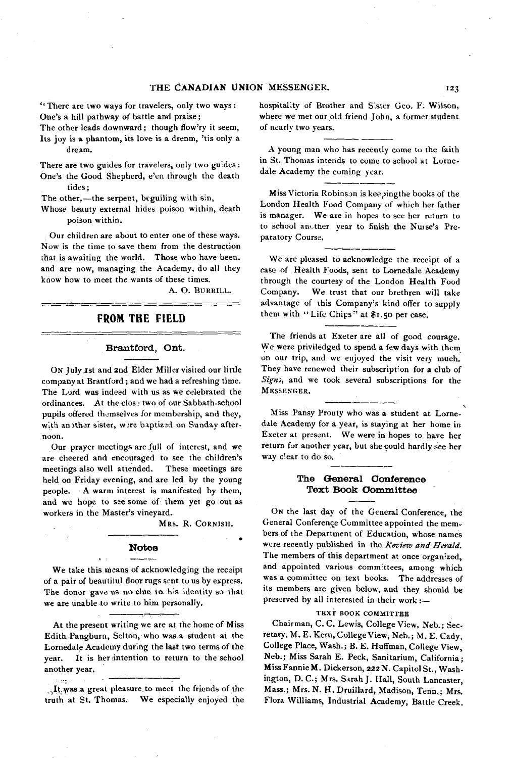' ' There are two ways for travelers, only two ways : One's a hill pathway of battle and praise;

The other leads downward; though flow'ry it seem, Its joy is a phantom, its love is a drenm, 'tis only a dream.

There are two guides for travelers, only two guides : One's the Good Shepherd, e'en through the death tides;

The other,— the serpent, beguiling with sin,

Whose beauty external hides poison within, death poison within.

Our children are about to enter one of these ways. Now' is the time to save them from the destruction that is awaiting the world. Those who have been, and are now, managing the Academy, do all they know how to meet the wants of these times.

A. O. BURRILL.

## FROM THE FIELD

## **Brantford, Ont.**

ON July 1st and 2nd Elder Miller visited our little company at Brantford; and we had a refreshing time. The Lord was indeed with us as we celebrated the ordinances. At the close two of our Sabbath-school pupils offered themselves for membership, and they, with an ither sister, were baptized on Sunday afternoon.

Our prayer meetings are full of interest, and we are cheered and encouraged to see the children's meetings also well attended. These meetings are held on Friday evening, and are led by the young people. A warm interest is manifested by them, and we hope to see some of them yet go out as workers in the Master's vineyard.

MRS. R. CORNISH.

#### **Notes**

We take this means of acknowledging the receipt of a pair of beautilul floor rugs sent to us by express. The donor gave us no clue to his identity so that we are unable to write to him personally.

At the present writing we are at the home of Miss Edith Pangburn, Selton, who was a student at the Lornedale Academy during the last two terms of the year. It is her intention to return to the school another year.

ren. ,.It..yvas a great pleasure to meet the friends of the truth at St. Thomas. We especially enjoyed the

hospitality of Brother and Sister Geo. F. Wilson, where we met our old friend John, a former student of nearly two years.

A young man who has recently come to the faith in St. Thomas intends to come to school at Lornedale Academy the coming year.

Miss Victoria Robinson is keepingthe books of the London Health Food Company of which her father is manager. We are in hopes to see her return to to school another year to finish the Nuise's Preparatory Course.

We are pleased to acknowledge the receipt of a case of Health Foods, sent to Lornedale Academy through the courtesy of the London Health Food Company. We trust that our brethren will take advantage of this Company's kind offer to supply them with "Life Chips" at \$1.50 per case.

The friends at Exeter are all of good courage. We were priviledged to spend a few days with them on our trip, and we enjoyed the visit very much. They have renewed their subscription for a club of *Signs,* and we took several subscriptions for the MESSENGER.

Miss Pansy Prouty who was a student at Lornedale Academy for a year, is staying at her home in Exeter at present. We were in hopes to have her return for another year, but she could hardly see her way clear to do so.

## **The General Conference Text Book Committee**

On the last day of the General Conference, the General Conference Committee appointed the members of the Department of Education, whose names were recently published in the *Review and Herald.* The members of this department at once organ'zed, and appointed various committees, among which was a committee on text books. The addresses of its members are given below, and they should be preserved by all interested in their work: $-$ 

#### TEXT BOOK COMMITTEE

Chairman, C. C. Lewis, College View, Neb.; Secretary, M. E . Kern, College View, Neb.; M. E. Cady, College Place, Wash.; B. E. Huffman, College View. Neb.; Miss Sarah E. Peck, Sanitarium, California; Miss Fannie M. Dickerson, 222 N. Capitol St., Washington, D. C .; Mrs. Sarah J. Hall, South Lancaster, Mass.; Mrs. N. H. Druillard, Madison, Tenn.; Mrs. Flora Williams, Industrial Academy, Battle Creek.